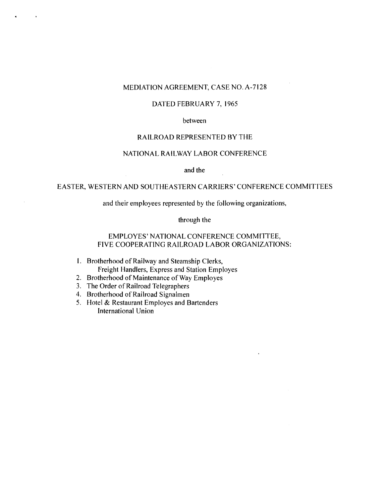## MEDIATION AGREEMENT, CASE NO. A-7 **128**

#### DATED FEBRUARY 7, 1965

between

## RAILROAD REPRESENTED BY THE

## NATIONAL RAILWAY LABOR CONFERENCE

and the

## EASTER, WESTERN AND SOUTHEASTERN CARRIERS' CONFERENCE COMMITTEES

## and their employees represented by the following organizations,

through the

## EMPLOYES' NATIONAL CONFERENCE COMMITTEE, FIVE COOPERATING RAILROAD LABOR ORGANIZATIONS:

- I. Brotherhood of Railway and Steamship Clerks, Freight Handlers, Express and Station Employes
- 2. Brotherhood of Maintenance of Way Employes
- **3.** The Order of Railroad Telegraphers
- 4. Brotherhood of Railroad Signalmen
- 5. Hotel & Restaurant Employes and Bartenders International Union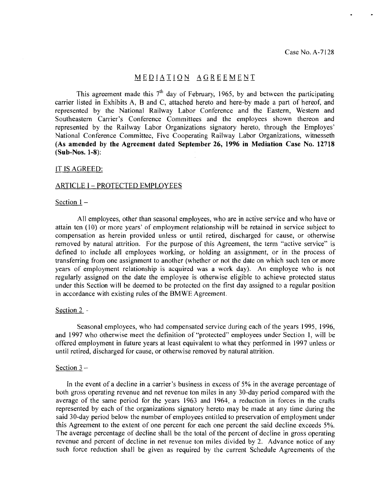# $MEDIATION-AGREEMENT$

This agreement made this  $7<sup>th</sup>$  day of February, 1965, by and between the participating carrier listed in Exhibits A, B and C, attached hereto and here-by made a part of hereof, and represented by the National Railway Labor Conference and the Eastern, Western and Southeastern Carrier's Conference Committees and the employees shown thereon and represented by the Railway Labor Organizations signatory hereto, through the Employes' National Conference Committee, Five Cooperating Railway Labor Organizations, witnesseth **(As amended by the Agreement dated September** 26, 1996 **in Mediation Case No.** 12718 **(Sub-Nos.** 1-8):

## IT IS AGREED:

#### ARTICLE I - PROTECTED EMPLOYEES

#### Section  $1 -$

All employees, other than seasonal employees, who are in active service and who have or attain ten (10) or more years' of employment relationship will be retained in service subject to compensation as herein provided unless or until retired, discharged for cause, or otherwise removed by natural attrition. For the purpose of this Agreement, the term "active service" is defined to include all employees working, or holding an assignment, or in the process of transferring from one assignment to another (whether or not the date on which such ten or more years of employment relationship is acquired was a work day). An employee who is not regularly assigned on the date the employee is otherwise eligible to achieve protected status under this Section will be deemed to be protected on the first day assigned to a regular position in accordance with existing rules of the BMWE Agreement.

#### Section 2 -

Seasonal employees, who had compensated service during each of the years 1995, 1996, and 1997 who otherwise meet the definition of "protected" employees under Section 1, will be offered employment in future years at least equivalent to what they performed in 1997 unless or until retired, discharged for cause, or otherwise removed by natural attrition.

#### Section  $3 -$

In the event of a decline in a carrier's business in excess of 5% in the average percentage of both gross operating revenue and net revenue ton miles in any 30-day period compared with the average of the same period for the years 1963 and 1964, a reduction in forces in the crafts represented by each of the organizations signatory hereto may be made at any time during the said 30-day period below the number of employees entitled to preservation of employment under this Agreement to the extent of one percent for each one percent the said decline exceeds 5%. The average percentage of decline shall be the total of the percent of decline in gross operating revenue and percent of decline in net revenue ton miles divided by 2. Advance notice of any such force reduction shall be given as required by the current Schedule Agreements of the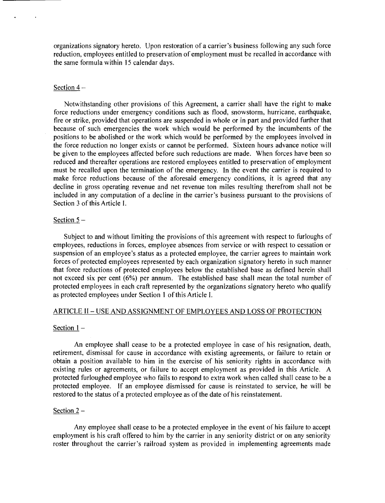organizations signatory hereto. Upon restoration of a carrier's business following any such force reduction, employees entitled to preservation of employment must be recalled in accordance with the same formula within 15 calendar days.

## Section  $4 -$

Notwithstanding other provisions of this Agreement, a carrier shall have the right to make force reductions under emergency conditions such as flood, snowstorm, hurricane, earthquake, fire or strike, provided that operations are suspended in whole or in part and provided further that because of such emergencies the work which would be performed by the incumbents of the positions to be abolished or the work which would be performed by the employees involved in the force reduction no longer exists or cannot be performed. Sixteen hours advance notice will be given to the employees affected before such reductions are made. When forces have been so reduced and thereafter operations are restored employees entitled to preservation of employment must be recalled upon the termination of the emergency. In the event the carrier is required to make force reductions because of the aforesaid emergency conditions, it is agreed that any decline in gross operating revenue and net revenue ton miles resulting therefrom shall not be included in any computation of a decline in the carrier's business pursuant to the provisions of Section **3** of this Article I.

## Section  $5 -$

Subject to and without limiting the provisions of this agreement with respect to furloughs of employees, reductions in forces, employee absences from service or with respect to cessation or suspension of an employee's status as a protected employee, the carrier agrees to maintain work forces of protected employees represented by each organization signatory hereto in such manner that force reductions of protected employees below the established base as defined herein shall not exceed six per cent (6%) per annum. The established base shall mean the total number of protected employees in each craft represented by the organizations signatory hereto who qualify as protected employees under Section 1 of this Article I.

## ARTICLE I1 - USE AND ASSIGNMENT OF EMPLOYEES AND LOSS OF PROTECTION

## Section 1-

An employee shall cease to be a protected employee in case of his resignation, death, retirement, dismissal for cause in accordance with existing agreements, or failure to retain or obtain a position available to him in the exercise of his seniority rights in accordance with existing rules or agreements, or failure to accept employment as provided in this Article. A protected furloughed employee who fails to respond to extra work when called shall cease to be a protected employee. If an employee dismissed for cause is reinstated to service, he will be restored to the status of a protected employee as of the date of his reinstatement.

## Section 2 -

Any employee shall cease to be a protected employee in the event of his failure to accept employment is his craft offered to him by the carrier in any seniority district or on any seniority roster throughout the carrier's railroad system as provided in implementing agreements made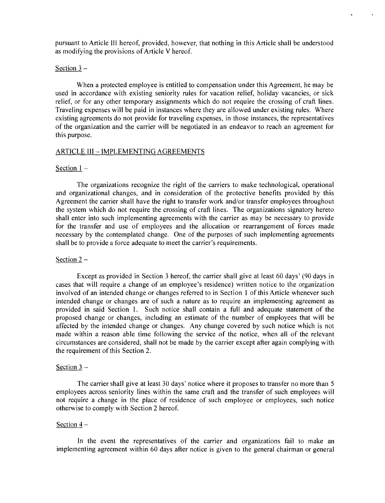pursuant to Article 111 hereof, provided, however, that nothing in this Article shall be understood as modifying the provisions ofArticle V hereof.

#### Section  $3 -$

When a protected employee is entitled to compensation under this Agreement, he may be used in accordance with existing seniority rules for vacation relief, holiday vacancies, or sick relief, or for any other temporary assignments which do not require the crossing of craft lines. Traveling expenses will be paid in instances where they are allowed under existing rules. Where existing agreements do not provide for traveling expenses, in those instances, the representatives of the organization and the carrier will be negotiated in an endeavor to reach an agreement for this purpose.

## ARTICLE 111 - IMPLEMENTING AGREEMENTS

#### Section  $1 -$

The organizations recognize the right of the carriers to make technological, operational and organizational changes, and in consideration of the protective benefits provided by this Agreement the carrier shall have the right to transfer work and/or transfer employees throughout the system which do not require the crossing of craft lines. The organizations signatory hereto shall enter into such implementing agreements with the carrier as may be necessary to provide for the transfer and use of empfoyees and the allocation or rearrangement of forces made necessary by the contemplated change. One of the purposes of such implementing agreements shall be to provide a force adequate to meet the carrier's requirements.

### Section  $2 -$

Except as provided in Section 3 hereof, the carrier shall give at least 60 days' (90 days in cases that will require a change of an employee's residence) written notice to the organization involved of an intended change or changes referred to in Section 1 of this Article whenever such intended change or changes are of such a nature as to require an implementing agreement as provided in said Section 1. Such notice shall contain a full and adequate statement of the proposed change or changes, including an estimate of the number of employees that will be affected by the intended change or changes. Any change covered by such notice which is not made within a reason able time following the service of the notice, when all of the relevant circumstances are considered, shall not be made by the carrier except after again complying with the requirement of this Section 2.

#### Section **3** -

The carrier shall give at least 30 days' notice where it proposes to transfer no more than 5 employees across seniority lines within the same craft and the transfer of such employees will not require a change in the place of residence of such employee or employees, such notice otherwise to comply with Section 2 hereof.

#### Section  $4 -$

In the event the representatives of the carrier and organizations fail to make an implementing agreement within 60 days after notice is given to the general chairman or general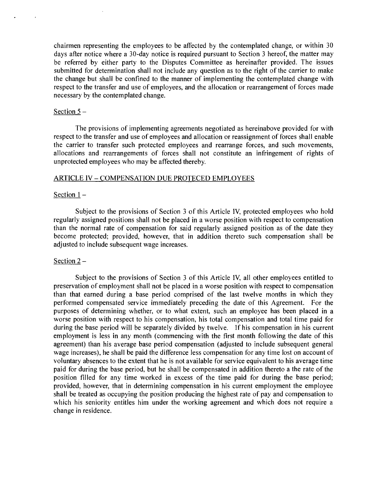chairmen representing the employees to be affected by the contemplated change, or within 30 days after notice where a 30-day notice is required pursuant to Section 3 hereof, the matter may be referred by either party to the Disputes Committee as hereinafter provided. The issues submitted for determination shall not include any question as to the right of the carrier to make the change but shall be confined to the manner of implementing the contemplated change with respect to the transfer and use of employees, and the allocation or rearrangement of forces made necessary by the contemplated change.

### Section  $5 -$

The provisions of implementing agreements negotiated as hereinabove provided for with respect to the transfer and use of employees and allocation or reassignment of forces shall enable the carrier to transfer such protected employees and rearrange forces, and such movements, allocations and rearrangements of forces shall not constitute an infringement of rights of unprotected employees who may be affected thereby.

#### ARTICLE 1V - COMPENSATION DUE PROTECED EMPLOYEES

#### Section  $1 -$

Subject to the provisions of Section 3 of this Article lV, protected employees who hold regularly assigned positions shall not be placed in a worse position with respect to compensation than the normal rate of compensation for said regularly assigned position as of the date they become protected; provided, however, that in addition thereto such compensation shall be adjusted to include subsequent wage increases.

### Section 2 -

Subject to the provisions of Section 3 of this Article IV, all other employees entitled to preservation of employment shall not be placed in a worse position with respect to compensation than that earned during a base period comprised of the last twelve months in which they performed compensated service immediately preceding the date of this Agreement. For the purposes of determining whether, or to what extent, such an employee has been placed in a worse position with respect to his compensation, his total compensation and total time paid for during the base period will be separately divided by twelve. lf his compensation in his current employment is less in any month (commencing with the first month following the date of this agreement) than his average base period compensation (adjusted to include subsequent general wage increases), he shall be paid the difference less compensation for any time lost on account of voluntary absences to the extent that he is not available for service equivalent to his average time paid for during the base period, but he shall be compensated in addition thereto a the rate of the position filled for any time worked in excess of the time paid for during the base period; provided, however, that in determining compensation in his current employment the employee shall be treated as occupying the position producing the highest rate of pay and compensation to which his seniority entitles him under the working agreement and which does not require a change in residence.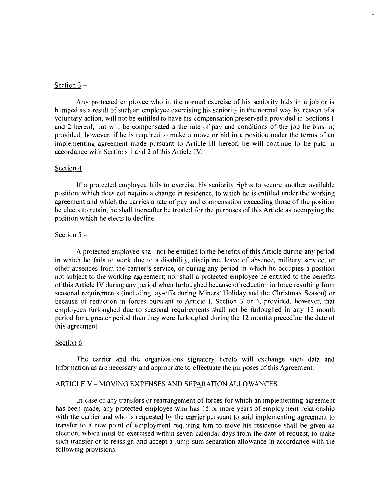## Section **3** -

Any protected employee who in the normal exercise of his seniority bids in a job or is bumped as a result of such an employee exercising his seniority in the normal way by reason of a voluntary action, will not be entitled to have his compensation preserved a provided in Sections I and 2 hereof, but will be compensated a the rate of pay and conditions of the job he bins in; provided, however, if he is required to make a move or bid in a position under the terms of an implementing agreement made pursuant to Article Ill hereof, he will continue to be paid in accordance with Sections I and 2 of this Article IV.

#### Section  $4 -$

If a protected employee fails to exercise his seniority rights to secure another available position, which does not require a change in residence, to which he is entitled under the working agreement and which the carries a rate of pay and compensation exceeding those of the position he elects to retain, he shall thereafter be treated for the purposes of this Article as occupying the position which he elects to decline.

#### Section  $5 -$

A protected employee shall not be entitled to the benefits of this Article during any period in which he fails to work due to a disability, discipline, leave of absence, military service, or other absences from the carrier's service, or during any period in which he occupies a position not subject to the working agreement; nor shall a protected employee be entitled to the benefits of this Article IV during any period when furloughed because of reduction in force resulting from seasonal requirements (including lay-offs during Miners' Holiday and the Christmas Season) or because of reduction in forces pursuant to Article I, Section **3** or 4, provided, however, that employees furloughed due to seasonal requirements shall not be furloughed in any 12 month period for a greater period than they were furloughed during the 12 months preceding the date of this agreement.

## Section  $6 -$

The carrier and the organizations signatory hereto will exchange such data and information as are necessary and appropriate to effectuate the purposes of this Agreement.

## ARTICLE V - MOVING EXPENSES AND SEPARATION ALLOWANCES

In case of any transfers or rearrangement of forces for which an implementing agreement has been made, any protected employee who has 15 or more years of employment relationship with the carrier and who is requested by the carrier pursuant to said implementing agreement to transfer to a new point of employment requiring him to move his residence shall be given an election, which must be exercised within seven calendar days from the date of request, to make such transfer or to reassign and accept a lump sum separation allowance in accordance with the following provisions: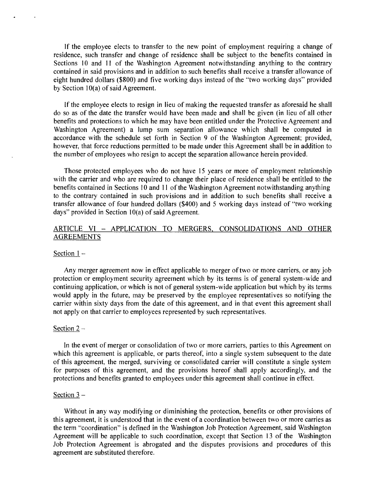If the employee elects to transfer to the new point of employment requiring a change of residence, such transfer and change of residence shall be subject to the benefits contained in Sections 10 and 11 of the Washington Agreement notwithstanding anything to the contrary contained in said provisions and in addition to such benefits shall receive a transfer allowance of eight hundred dollars (\$800) and five working days instead of the "two working days" provided by Section 10(a) of said Agreement.

If the employee elects to resign in lieu of making the requested transfer as aforesaid he shall do so as of the date the transfer would have been made and shall be given (in lieu of all other benefits and protections to which he may have been entitled under the Protective Agreement and Washington Agreement) a lump sum separation allowance which shall be computed in accordance with the schedule set forth in Section 9 of the Washington Agreement; provided, however, that force reductions permitted to be made under this Agreement shall be in addition to the number of employees who resign to accept the separation allowance herein provided.

Those protected employees who do not have 15 years or more of employment relationship with the carrier and who are required to change their place of residence shall be entitled to the benefits contained in Sections 10 and 11 of the Washington Agreement notwithstanding anything to the contrary contained in such provisions and in addition to such benefits shall receive a transfer allowance of four hundred dollars (\$400) and 5 working days instead of "two working days" provided in Section 10(a) of said Agreement.

## ARTICLE VI - APPLICATION TO MERGERS, CONSOLIDATIONS AND OTHER AGREEMENTS

#### Section  $1 -$

Any merger agreement now in effect applicable to merger of two or more carriers, or any job protection or employment security agreement which by its terms is of general system-wide and continuing application, or which is not of general system-wide application but which by its terms would apply in the future, may be preserved by the employee representatives so notifying the carrier within sixty days from the date of this agreement, and in that event this agreement shall not apply on that carrier to employees represented by such representatives.

## Section 2 -

In the event of merger or consolidation of two or more carriers, parties to this Agreement on which this agreement is applicable, or parts thereof, into a single system subsequent to the date of this agreement, the merged, surviving or consolidated carrier will constitute a single system for purposes of this agreement, and the provisions hereof shall apply accordingly, and the protections and benefits granted to employees under this agreement shall continue in effect.

#### Section **3** -

Without in any way modifying or diminishing the protection, benefits or other provisions of this agreement, it is understood that in the event of a coordination between two or more carries as the term "coordination" is defined in the Washington Job Protection Agreement, said Washington Agreement will be applicable to such coordination, except that Section 13 of the Washington Job Protection Agreement is abrogated and the disputes provisions and procedures of this agreement are substituted therefore.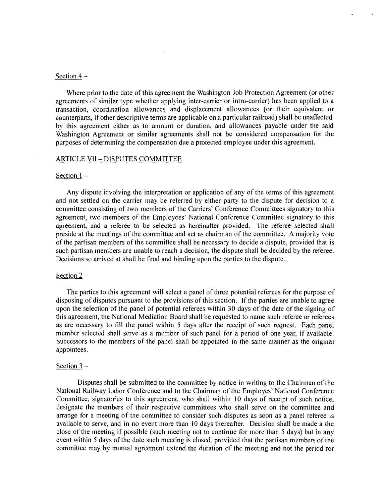#### Section  $4 -$

Where prior to the date of this agreement the Washington Job Protection Agreement (or other agreements of similar type whether applying inter-carrier or intra-carrier) has been applied to a transaction, coordination allowances and displacement allowances (or their equivalent or counterparts, if other descriptive terms are applicable on a particular railroad) shall be unaffected by this agreement either as to amount or duration, and allowances payable under the said Washington Agreement or similar agreements shall not be considered compensation for the purposes of determining the compensation due a protected employee under this agreement.

## ARTICLE VII - DISPUTES COMMITTEE

#### Section  $1 -$

Any dispute involving the interpretation or application of any of the terms of this agreement and not settled on the carrier may be referred by either party to the dispute for decision to a committee consisting of two members of the Carriers' Conference Committees signatory to this agreement, two members of the Employees' National Conference Committee signatory to this agreement, and a referee to be selected as hereinafter provided. The referee selected shall preside at the meetings of the committee and act as chairman of the committee. A majority vote of the partisan members of the committee shall be necessary to decide a dispute, provided that is such partisan members are unable to reach a decision, the dispute shall be decided by the referee. Decisions so arrived at shall be final and binding upon the parties to the dispute.

#### Section  $2 -$

The parties to this agreement will select a panel of three potential referees for the purpose of disposing of disputes pursuant to the provisions of this section. If the parties are unable to agree upon the selection of the panel of potential referees within 30 days of the date of the signing of this agreement, the National Mediation Board shall be requested to name such referee or referees as are necessary to fill the panel within *5* days after the receipt of such request. Each panel member selected shall serve as a member of such panel for a period of one year, if available. Successors to the members of the panel shall be appointed in the same manner as the original appointees.

#### Section **3** -

Disputes shall be submitted to the committee by notice in writing to the Chairman of the National Railway Labor Conference and to the Chairman of the Employes' National Conference Committee, signatories to this agreement, who shall within 10 days of receipt of such notice, designate the members of their respective committees who shall serve on the committee and arrange for a meeting of the committee to consider such disputes as soon as a panel referee is available to serve, and in no event more than 10 days thereafter. Decision shall be made a the close of the meeting if possible (such meeting not to continue for more than *5* days) but in any event within *5* days of the date such meeting is closed, provided that the partisan members of the committee may by mutual agreement extend the duration of the meeting and not the period for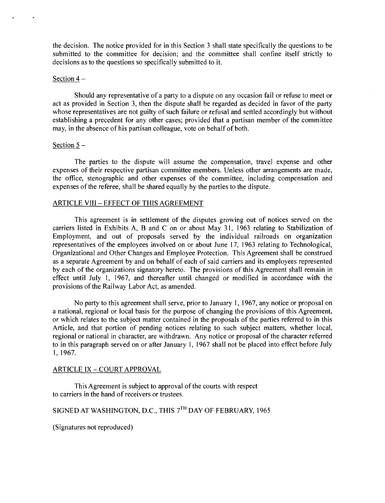the decision. The notice provided for in this Section 3 shall state specifically the questions to be submitted to the committee for decision; and the committee shall confine itself strictly to decisions as to the questions so specifically submitted to it.

### Section  $4 -$

Should any representative of a party to a dispute on any occasion fail or refuse to meet or act as provided in Section 3, then the dispute shall be regarded as decided in favor of the party whose representatives are not guilty of such failure or refusal and settled accordingly but without establishing a precedent for any other cases; provided that a partisan member of the committee may, in the absence of his partisan colleague, vote on behalf of both.

## Section  $5 -$

The parties to the dispute will assume the compensation, travel expense and other expenses of their respective partisan committee members. Unless other arrangements are made, the office, stenographic and other expenses of the committee, including compensation and expenses of the referee, shall be shared equally by the parties to the dispute.

## ARTICLE VIII - EFFECT OF THIS AGREEMENT

This agreement is in settlement of the disputes growing out of notices served on the carriers listed in Exhibits A, B and C on or about May 31, 1963 relating to Stabilization of Employment, and out of proposals served by the individual railroads on organization representatives of the employees involved on or about June 17, 1963 relating to Technological, Organizational and Other Changes and Employee Protection. This Agreement shall be construed as a separate Agreement by and on behalf of each of said carriers and its employees represented by each of the organizations signatory hereto. The provisions of this Agreement shall remain in effect until July 1, 1967, and thereafter until changed or modified in accordance with the provisions of the Railway Labor Act, as amended.

No party to this agreement shall serve, prior to January 1, 1967, any notice or proposal on a national, regional or local basis for the purpose of changing the provisions of this Agreement, or which relates to the subject matter contained in the proposals of the parties referred to in this Article, and that portion of pending notices relating to such subject matters, whether local, regional or national in character, are withdrawn. Any notice or proposal of the character referred to in this paragraph served on or after January 1, 1967 shall not be placed into effect before July 1. 1967.

## ARTICLE IX - COURT APPROVAL

This Agreement is subject to approval of the courts with respect to carriers in the hand of receivers or trustees.

# SIGNED AT WASHINGTON, D.C., THIS 7<sup>TH</sup> DAY OF FEBRUARY, 1965

(Signatures not reproduced)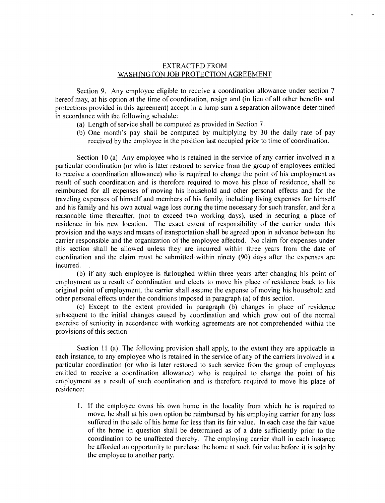## EXTRACTED FROM WASHINGTON JOB PROTECTION AGREEMENT

Section 9. Any employee eligible to receive a coordination allowance under section 7 hereof may, at his option at the time of coordination, resign and (in lieu of all other benefits and protections provided in this agreement) accept in a lump sum a separation allowance determined in accordance with the following schedule:

- (a) Length of service shall be computed as provided in Section 7.
- (b) One month's pay shall be computed by multiplying by 30 the daily rate of pay received by the employee in the position last occupied prior to time of coordination.

Section 10 (a) Any employee who is retained in the service of any carrier involved in a particular coordination (or who is later restored to service from the group of employees entitled to receive a coordination allowance) who is required to change the point of his employment as result of such coordination and is therefore required to move his place of residence, shall be reimbursed for all expenses of moving his household and other personal effects and for the traveling expenses of himself and members of his family, including living expenses for himself and his family and his own actual wage loss during the time necessary for such transfer, and for a reasonable time thereafter, (not to exceed two working days), used in securing a place of residence in his new location. The exact extent of responsibility of the carrier under this provision and the ways and means of transportation shall be agreed upon in advance between the carrier responsible and the organization of the employee affected. No claim for expenses under this section shall be allowed unless they are incurred within three years from the date of coordination and the claim must be submitted within ninety (90) days after the expenses are incurred.

(b) If any such employee is furloughed within three years after changing his point of employment as a result of coordination and elects to move his place of residence back to his original point of employment, the carrier shall assume the expense of moving his household and other personal effects under the conditions imposed in paragraph (a) of this section.

(c) Except to the extent provided in paragraph (b) changes in place of residence subsequent to the initial changes caused by coordination and which grow out of the normal exercise of seniority in accordance with working agreements are not comprehended within the provisions of this section.

Section 11 (a). The following provision shall apply, to the extent they are applicable in each instance, to any employee who is retained in the service of any of the carriers involved in a particular coordination (or who is later restored to such service from the group of employees entitled to receive a coordination allowance) who is required to change the point of his employment as a result of such coordination and is therefore required to move his place of residence:

1. If the employee owns his own home in the locality from which he is required to move, he shall at his own option be reimbursed by his employing carrier for any loss suffered in the sale of his home for less than its fair value. In each case the fair value of the home in question shall be determined as of a date sufficiently prior to the coordination to be unaffected thereby. The employing carrier shall in each instance be afforded an opportunity to purchase the home at such fair value before it is sold by the employee to another party.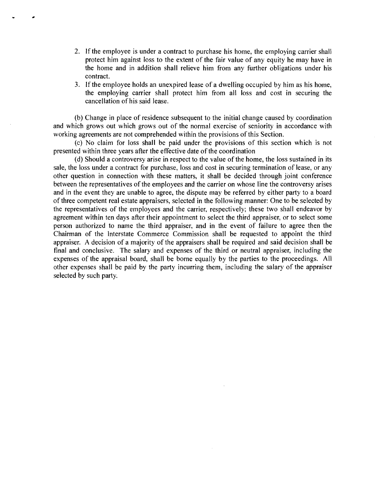- 2. If the employee is under a contract to purchase his home, the employing carrier shall protect him against loss to the extent of the fair value of any equity he may have in the home and in addition shall relieve him from any further obligations under his contract.
- **3.** If the employee holds an unexpired lease of a dwelling occupied by him as his home, the employing carrier shall protect him from all loss and cost in securing the cancellation of his said lease.

(b) Change in place of residence subsequent to the initial change caused by coordination and which grows out which grows out of the normal exercise of seniority in accordance with working agreements are not comprehended within the provisions of this Section.

(c) No claim for loss shall be paid under the provisions of this section which is not presented within three years after the effective date of the coordination

(d) Should a controversy arise in respect to the value of the home, the loss sustained in its sale, the loss under a contract for purchase, loss and cost in securing termination of lease, or any other question in connection with these matters, it shall be decided through joint conference between the representatives of the employees and the carrier on whose line the controversy arises and in the event they are unable to agree, the dispute may be referred by either party to a board of three competent real estate appraisers, selected in the following manner: One to be selected by the representatives of the employees and the carrier, respectively; these two shall endeavor by agreement within ten days after their appointment to select the third appraiser, or to select some person authorized to name the third appraiser, and in the event of failure to agree then the Chairman of the Interstate Commerce Commission shall be requested to appoint the third appraiser. A decision of a majority of the appraisers shall be required and said decision shall be final and conclusive. The salary and expenses of the third or neutral appraiser, including the expenses of the appraisal board, shall be borne equally by the parties to the proceedings. All other expenses shall be paid by the party incurring them, including the salary of the appraiser selected by such party.